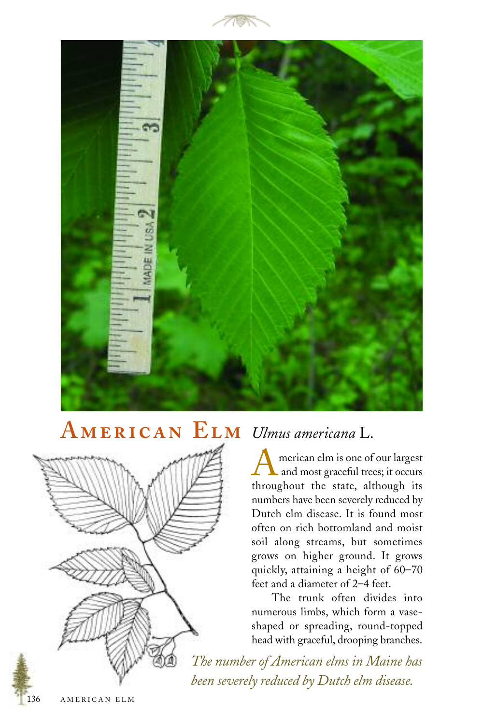



## **A E** *Ulmus americana* L.



American elm is one of our largest<br>and most graceful trees; it occurs throughout the state, although its numbers have been severely reduced by Dutch elm disease. It is found most often on rich bottomland and moist soil along streams, but sometimes grows on higher ground. It grows quickly, attaining a height of 60–70 feet and a diameter of 2–4 feet.

The trunk often divides into numerous limbs, which form a vaseshaped or spreading, round-topped head with graceful, drooping branches.

*The number of American elms in Maine has been severely reduced by Dutch elm disease.*